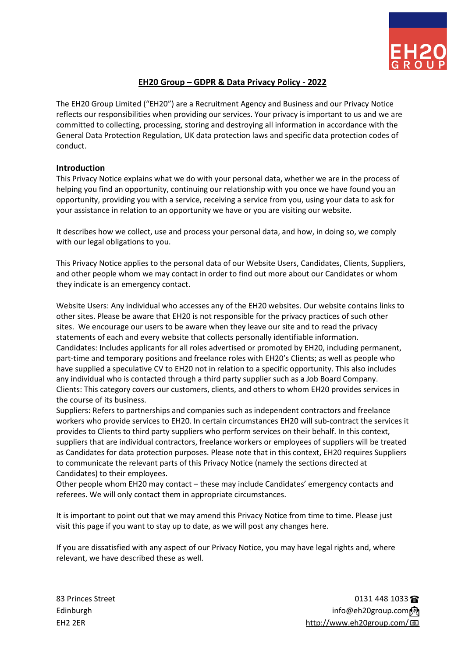

# **EH20 Group – GDPR & Data Privacy Policy - 2022**

The EH20 Group Limited ("EH20") are a Recruitment Agency and Business and our Privacy Notice reflects our responsibilities when providing our services. Your privacy is important to us and we are committed to collecting, processing, storing and destroying all information in accordance with the General Data Protection Regulation, UK data protection laws and specific data protection codes of conduct.

#### **Introduction**

This Privacy Notice explains what we do with your personal data, whether we are in the process of helping you find an opportunity, continuing our relationship with you once we have found you an opportunity, providing you with a service, receiving a service from you, using your data to ask for your assistance in relation to an opportunity we have or you are visiting our website.

It describes how we collect, use and process your personal data, and how, in doing so, we comply with our legal obligations to you.

This Privacy Notice applies to the personal data of our Website Users, Candidates, Clients, Suppliers, and other people whom we may contact in order to find out more about our Candidates or whom they indicate is an emergency contact.

Website Users: Any individual who accesses any of the EH20 websites. Our website contains links to other sites. Please be aware that EH20 is not responsible for the privacy practices of such other sites. We encourage our users to be aware when they leave our site and to read the privacy statements of each and every website that collects personally identifiable information. Candidates: Includes applicants for all roles advertised or promoted by EH20, including permanent, part-time and temporary positions and freelance roles with EH20's Clients; as well as people who have supplied a speculative CV to EH20 not in relation to a specific opportunity. This also includes any individual who is contacted through a third party supplier such as a Job Board Company. Clients: This category covers our customers, clients, and others to whom EH20 provides services in the course of its business.

Suppliers: Refers to partnerships and companies such as independent contractors and freelance workers who provide services to EH20. In certain circumstances EH20 will sub-contract the services it provides to Clients to third party suppliers who perform services on their behalf. In this context, suppliers that are individual contractors, freelance workers or employees of suppliers will be treated as Candidates for data protection purposes. Please note that in this context, EH20 requires Suppliers to communicate the relevant parts of this Privacy Notice (namely the sections directed at Candidates) to their employees.

Other people whom EH20 may contact – these may include Candidates' emergency contacts and referees. We will only contact them in appropriate circumstances.

It is important to point out that we may amend this Privacy Notice from time to time. Please just visit this page if you want to stay up to date, as we will post any changes here.

If you are dissatisfied with any aspect of our Privacy Notice, you may have legal rights and, where relevant, we have described these as well.

83 Princes Street 2013 1235 The Street 2013 1235 The Street 2013 1235 The Street 2013 1235 The Street 2013 123 Edinburgh info@eh20group.com <br> **Edinburgh info@eh20group.com** ③ EH2 2ER <http://www.eh20group.com/>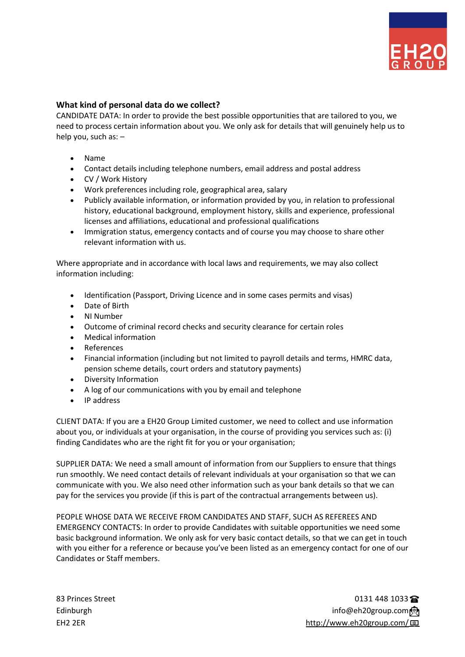

## **What kind of personal data do we collect?**

CANDIDATE DATA: In order to provide the best possible opportunities that are tailored to you, we need to process certain information about you. We only ask for details that will genuinely help us to help you, such as: –

- Name
- Contact details including telephone numbers, email address and postal address
- CV / Work History
- Work preferences including role, geographical area, salary
- Publicly available information, or information provided by you, in relation to professional history, educational background, employment history, skills and experience, professional licenses and affiliations, educational and professional qualifications
- Immigration status, emergency contacts and of course you may choose to share other relevant information with us.

Where appropriate and in accordance with local laws and requirements, we may also collect information including:

- Identification (Passport, Driving Licence and in some cases permits and visas)
- Date of Birth
- NI Number
- Outcome of criminal record checks and security clearance for certain roles
- Medical information
- **References**
- Financial information (including but not limited to payroll details and terms, HMRC data, pension scheme details, court orders and statutory payments)
- Diversity Information
- A log of our communications with you by email and telephone
- IP address

CLIENT DATA: If you are a EH20 Group Limited customer, we need to collect and use information about you, or individuals at your organisation, in the course of providing you services such as: (i) finding Candidates who are the right fit for you or your organisation;

SUPPLIER DATA: We need a small amount of information from our Suppliers to ensure that things run smoothly. We need contact details of relevant individuals at your organisation so that we can communicate with you. We also need other information such as your bank details so that we can pay for the services you provide (if this is part of the contractual arrangements between us).

PEOPLE WHOSE DATA WE RECEIVE FROM CANDIDATES AND STAFF, SUCH AS REFEREES AND EMERGENCY CONTACTS: In order to provide Candidates with suitable opportunities we need some basic background information. We only ask for very basic contact details, so that we can get in touch with you either for a reference or because you've been listed as an emergency contact for one of our Candidates or Staff members.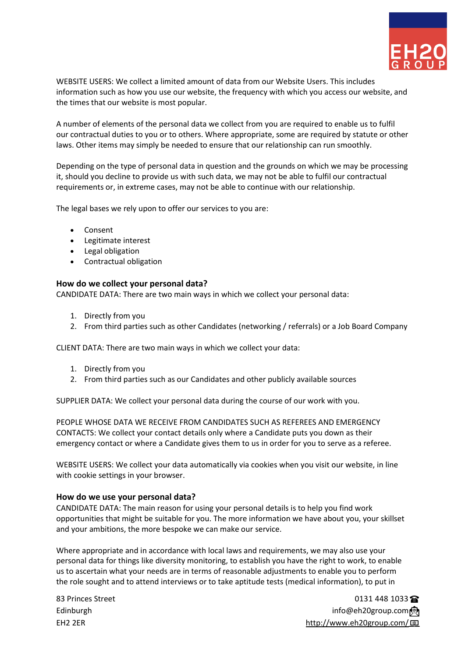

WEBSITE USERS: We collect a limited amount of data from our Website Users. This includes information such as how you use our website, the frequency with which you access our website, and the times that our website is most popular.

A number of elements of the personal data we collect from you are required to enable us to fulfil our contractual duties to you or to others. Where appropriate, some are required by statute or other laws. Other items may simply be needed to ensure that our relationship can run smoothly.

Depending on the type of personal data in question and the grounds on which we may be processing it, should you decline to provide us with such data, we may not be able to fulfil our contractual requirements or, in extreme cases, may not be able to continue with our relationship.

The legal bases we rely upon to offer our services to you are:

- Consent
- Legitimate interest
- Legal obligation
- Contractual obligation

#### **How do we collect your personal data?**

CANDIDATE DATA: There are two main ways in which we collect your personal data:

- 1. Directly from you
- 2. From third parties such as other Candidates (networking / referrals) or a Job Board Company

CLIENT DATA: There are two main ways in which we collect your data:

- 1. Directly from you
- 2. From third parties such as our Candidates and other publicly available sources

SUPPLIER DATA: We collect your personal data during the course of our work with you.

PEOPLE WHOSE DATA WE RECEIVE FROM CANDIDATES SUCH AS REFEREES AND EMERGENCY CONTACTS: We collect your contact details only where a Candidate puts you down as their emergency contact or where a Candidate gives them to us in order for you to serve as a referee.

WEBSITE USERS: We collect your data automatically via cookies when you visit our website, in line with cookie settings in your browser.

#### **How do we use your personal data?**

CANDIDATE DATA: The main reason for using your personal details is to help you find work opportunities that might be suitable for you. The more information we have about you, your skillset and your ambitions, the more bespoke we can make our service.

Where appropriate and in accordance with local laws and requirements, we may also use your personal data for things like diversity monitoring, to establish you have the right to work, to enable us to ascertain what your needs are in terms of reasonable adjustments to enable you to perform the role sought and to attend interviews or to take aptitude tests (medical information), to put in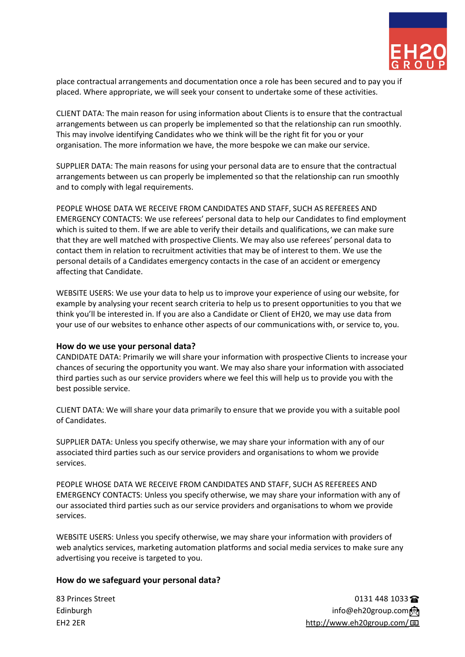

place contractual arrangements and documentation once a role has been secured and to pay you if placed. Where appropriate, we will seek your consent to undertake some of these activities.

CLIENT DATA: The main reason for using information about Clients is to ensure that the contractual arrangements between us can properly be implemented so that the relationship can run smoothly. This may involve identifying Candidates who we think will be the right fit for you or your organisation. The more information we have, the more bespoke we can make our service.

SUPPLIER DATA: The main reasons for using your personal data are to ensure that the contractual arrangements between us can properly be implemented so that the relationship can run smoothly and to comply with legal requirements.

PEOPLE WHOSE DATA WE RECEIVE FROM CANDIDATES AND STAFF, SUCH AS REFEREES AND EMERGENCY CONTACTS: We use referees' personal data to help our Candidates to find employment which is suited to them. If we are able to verify their details and qualifications, we can make sure that they are well matched with prospective Clients. We may also use referees' personal data to contact them in relation to recruitment activities that may be of interest to them. We use the personal details of a Candidates emergency contacts in the case of an accident or emergency affecting that Candidate.

WEBSITE USERS: We use your data to help us to improve your experience of using our website, for example by analysing your recent search criteria to help us to present opportunities to you that we think you'll be interested in. If you are also a Candidate or Client of EH20, we may use data from your use of our websites to enhance other aspects of our communications with, or service to, you.

#### **How do we use your personal data?**

CANDIDATE DATA: Primarily we will share your information with prospective Clients to increase your chances of securing the opportunity you want. We may also share your information with associated third parties such as our service providers where we feel this will help us to provide you with the best possible service.

CLIENT DATA: We will share your data primarily to ensure that we provide you with a suitable pool of Candidates.

SUPPLIER DATA: Unless you specify otherwise, we may share your information with any of our associated third parties such as our service providers and organisations to whom we provide services.

PEOPLE WHOSE DATA WE RECEIVE FROM CANDIDATES AND STAFF, SUCH AS REFEREES AND EMERGENCY CONTACTS: Unless you specify otherwise, we may share your information with any of our associated third parties such as our service providers and organisations to whom we provide services.

WEBSITE USERS: Unless you specify otherwise, we may share your information with providers of web analytics services, marketing automation platforms and social media services to make sure any advertising you receive is targeted to you.

### **How do we safeguard your personal data?**

83 Princes Street 2013 1235 The Street 2013 1235 The Street 2013 1235 The Street 2013 1235 The Street 2013 123 Edinburgh info@eh20group.com <br> **Edinburgh info@eh20group.com** ③ EH2 2ER <http://www.eh20group.com/>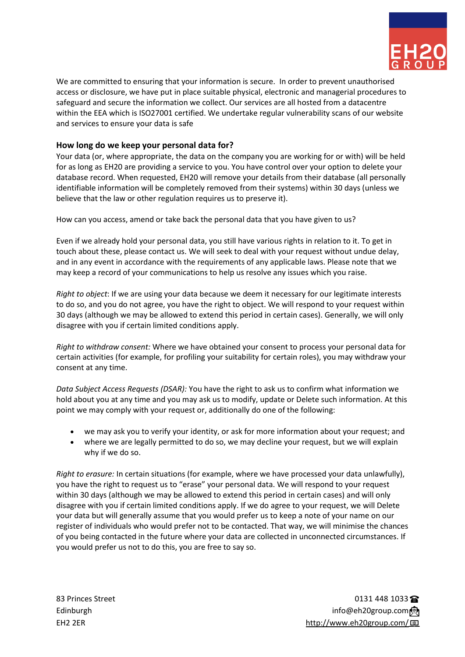

We are committed to ensuring that your information is secure. In order to prevent unauthorised access or disclosure, we have put in place suitable physical, electronic and managerial procedures to safeguard and secure the information we collect. Our services are all hosted from a datacentre within the EEA which is ISO27001 certified. We undertake regular vulnerability scans of our website and services to ensure your data is safe

## **How long do we keep your personal data for?**

Your data (or, where appropriate, the data on the company you are working for or with) will be held for as long as EH20 are providing a service to you. You have control over your option to delete your database record. When requested, EH20 will remove your details from their database (all personally identifiable information will be completely removed from their systems) within 30 days (unless we believe that the law or other regulation requires us to preserve it).

How can you access, amend or take back the personal data that you have given to us?

Even if we already hold your personal data, you still have various rights in relation to it. To get in touch about these, please contact us. We will seek to deal with your request without undue delay, and in any event in accordance with the requirements of any applicable laws. Please note that we may keep a record of your communications to help us resolve any issues which you raise.

*Right to object*: If we are using your data because we deem it necessary for our legitimate interests to do so, and you do not agree, you have the right to object. We will respond to your request within 30 days (although we may be allowed to extend this period in certain cases). Generally, we will only disagree with you if certain limited conditions apply.

*Right to withdraw consent:* Where we have obtained your consent to process your personal data for certain activities (for example, for profiling your suitability for certain roles), you may withdraw your consent at any time.

*Data Subject Access Requests (DSAR):* You have the right to ask us to confirm what information we hold about you at any time and you may ask us to modify, update or Delete such information. At this point we may comply with your request or, additionally do one of the following:

- we may ask you to verify your identity, or ask for more information about your request; and
- where we are legally permitted to do so, we may decline your request, but we will explain why if we do so.

*Right to erasure:* In certain situations (for example, where we have processed your data unlawfully), you have the right to request us to "erase" your personal data. We will respond to your request within 30 days (although we may be allowed to extend this period in certain cases) and will only disagree with you if certain limited conditions apply. If we do agree to your request, we will Delete your data but will generally assume that you would prefer us to keep a note of your name on our register of individuals who would prefer not to be contacted. That way, we will minimise the chances of you being contacted in the future where your data are collected in unconnected circumstances. If you would prefer us not to do this, you are free to say so.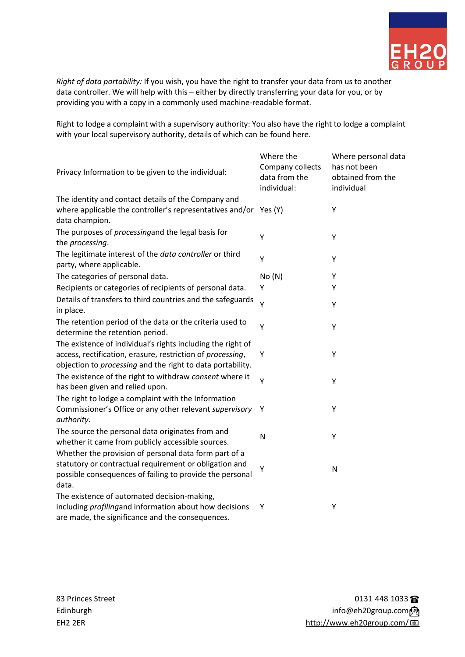

*Right of data portability:* If you wish, you have the right to transfer your data from us to another data controller. We will help with this – either by directly transferring your data for you, or by providing you with a copy in a commonly used machine-readable format.

Right to lodge a complaint with a supervisory authority: You also have the right to lodge a complaint with your local supervisory authority, details of which can be found here.

| Privacy Information to be given to the individual:                                                                                                                                      | Where the<br>Company collects<br>data from the<br>individual: | Where personal data<br>has not been<br>obtained from the<br>individual |
|-----------------------------------------------------------------------------------------------------------------------------------------------------------------------------------------|---------------------------------------------------------------|------------------------------------------------------------------------|
| The identity and contact details of the Company and<br>where applicable the controller's representatives and/or<br>data champion.                                                       | Yes (Y)                                                       | Υ                                                                      |
| The purposes of processingand the legal basis for<br>the processing.                                                                                                                    | Y                                                             | Υ                                                                      |
| The legitimate interest of the data controller or third<br>party, where applicable.                                                                                                     | Y                                                             | Y                                                                      |
| The categories of personal data.                                                                                                                                                        | No(N)                                                         | Y                                                                      |
| Recipients or categories of recipients of personal data.                                                                                                                                | Υ                                                             | Υ                                                                      |
| Details of transfers to third countries and the safeguards<br>in place.                                                                                                                 | Y                                                             | Υ                                                                      |
| The retention period of the data or the criteria used to<br>determine the retention period.                                                                                             | Y                                                             | Υ                                                                      |
| The existence of individual's rights including the right of<br>access, rectification, erasure, restriction of processing,<br>objection to processing and the right to data portability. | Υ                                                             | Υ                                                                      |
| The existence of the right to withdraw consent where it<br>has been given and relied upon.                                                                                              | Υ                                                             | Υ                                                                      |
| The right to lodge a complaint with the Information<br>Commissioner's Office or any other relevant supervisory<br>authority.                                                            | Y                                                             | Y                                                                      |
| The source the personal data originates from and<br>whether it came from publicly accessible sources.                                                                                   | N                                                             | Υ                                                                      |
| Whether the provision of personal data form part of a<br>statutory or contractual requirement or obligation and<br>possible consequences of failing to provide the personal<br>data.    | Υ                                                             | $\mathsf{N}$                                                           |
| The existence of automated decision-making,<br>including profilingand information about how decisions<br>are made, the significance and the consequences.                               | Υ                                                             | Υ                                                                      |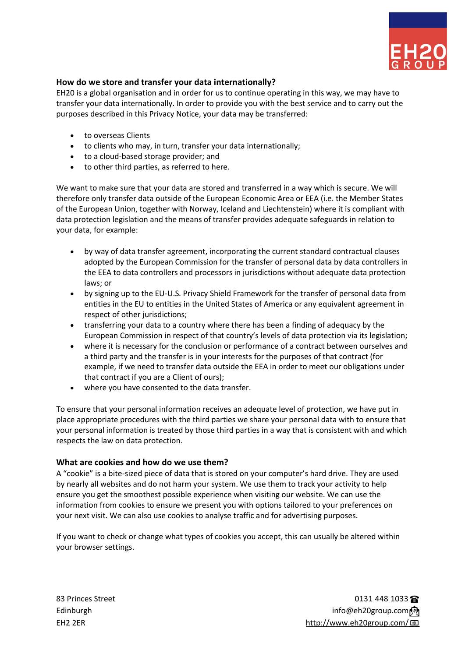

### **How do we store and transfer your data internationally?**

EH20 is a global organisation and in order for us to continue operating in this way, we may have to transfer your data internationally. In order to provide you with the best service and to carry out the purposes described in this Privacy Notice, your data may be transferred:

- to overseas Clients
- to clients who may, in turn, transfer your data internationally;
- to a cloud-based storage provider; and
- to other third parties, as referred to here.

We want to make sure that your data are stored and transferred in a way which is secure. We will therefore only transfer data outside of the European Economic Area or EEA (i.e. the Member States of the European Union, together with Norway, Iceland and Liechtenstein) where it is compliant with data protection legislation and the means of transfer provides adequate safeguards in relation to your data, for example:

- by way of data transfer agreement, incorporating the current standard contractual clauses adopted by the European Commission for the transfer of personal data by data controllers in the EEA to data controllers and processors in jurisdictions without adequate data protection laws; or
- by signing up to the EU-U.S. Privacy Shield Framework for the transfer of personal data from entities in the EU to entities in the United States of America or any equivalent agreement in respect of other jurisdictions;
- transferring your data to a country where there has been a finding of adequacy by the European Commission in respect of that country's levels of data protection via its legislation;
- where it is necessary for the conclusion or performance of a contract between ourselves and a third party and the transfer is in your interests for the purposes of that contract (for example, if we need to transfer data outside the EEA in order to meet our obligations under that contract if you are a Client of ours);
- where you have consented to the data transfer.

To ensure that your personal information receives an adequate level of protection, we have put in place appropriate procedures with the third parties we share your personal data with to ensure that your personal information is treated by those third parties in a way that is consistent with and which respects the law on data protection.

#### **What are cookies and how do we use them?**

A "cookie" is a bite-sized piece of data that is stored on your computer's hard drive. They are used by nearly all websites and do not harm your system. We use them to track your activity to help ensure you get the smoothest possible experience when visiting our website. We can use the information from cookies to ensure we present you with options tailored to your preferences on your next visit. We can also use cookies to analyse traffic and for advertising purposes.

If you want to check or change what types of cookies you accept, this can usually be altered within your browser settings.